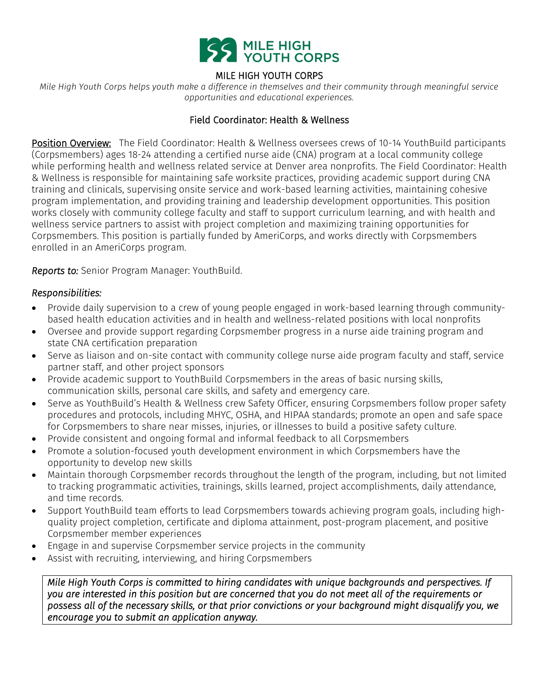

## MILE HIGH YOUTH CORPS

*Mile High Youth Corps helps youth make a difference in themselves and their community through meaningful service opportunities and educational experiences.*

#### Field Coordinator: Health & Wellness

Position Overview: The Field Coordinator: Health & Wellness oversees crews of 10-14 YouthBuild participants (Corpsmembers) ages 18-24 attending a certified nurse aide (CNA) program at a local community college while performing health and wellness related service at Denver area nonprofits. The Field Coordinator: Health & Wellness is responsible for maintaining safe worksite practices, providing academic support during CNA training and clinicals, supervising onsite service and work-based learning activities, maintaining cohesive program implementation, and providing training and leadership development opportunities. This position works closely with community college faculty and staff to support curriculum learning, and with health and wellness service partners to assist with project completion and maximizing training opportunities for Corpsmembers. This position is partially funded by AmeriCorps, and works directly with Corpsmembers enrolled in an AmeriCorps program.

*Reports to:* Senior Program Manager: YouthBuild.

#### *Responsibilities:*

- Provide daily supervision to a crew of young people engaged in work-based learning through communitybased health education activities and in health and wellness-related positions with local nonprofits
- Oversee and provide support regarding Corpsmember progress in a nurse aide training program and state CNA certification preparation
- Serve as liaison and on-site contact with community college nurse aide program faculty and staff, service partner staff, and other project sponsors
- Provide academic support to YouthBuild Corpsmembers in the areas of basic nursing skills, communication skills, personal care skills, and safety and emergency care.
- Serve as YouthBuild's Health & Wellness crew Safety Officer, ensuring Corpsmembers follow proper safety procedures and protocols, including MHYC, OSHA, and HIPAA standards; promote an open and safe space for Corpsmembers to share near misses, injuries, or illnesses to build a positive safety culture.
- Provide consistent and ongoing formal and informal feedback to all Corpsmembers
- Promote a solution-focused youth development environment in which Corpsmembers have the opportunity to develop new skills
- Maintain thorough Corpsmember records throughout the length of the program, including, but not limited to tracking programmatic activities, trainings, skills learned, project accomplishments, daily attendance, and time records.
- Support YouthBuild team efforts to lead Corpsmembers towards achieving program goals, including highquality project completion, certificate and diploma attainment, post-program placement, and positive Corpsmember member experiences
- Engage in and supervise Corpsmember service projects in the community
- Assist with recruiting, interviewing, and hiring Corpsmembers

*Mile High Youth Corps is committed to hiring candidates with unique backgrounds and perspectives. If you are interested in this position but are concerned that you do not meet all of the requirements or possess all of the necessary skills, or that prior convictions or your background might disqualify you, we encourage you to submit an application anyway.*